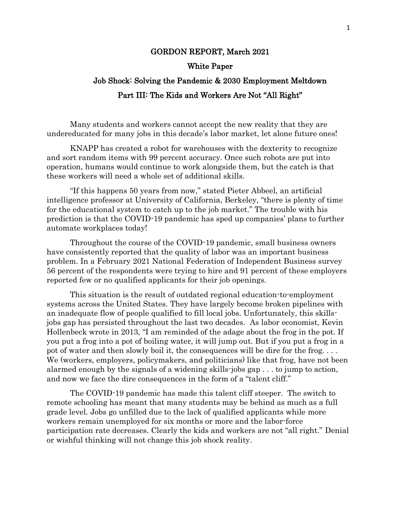#### GORDON REPORT, March 2021

#### White Paper

# Job Shock: Solving the Pandemic & 2030 Employment Meltdown Part III: The Kids and Workers Are Not "All Right"

Many students and workers cannot accept the new reality that they are undereducated for many jobs in this decade's labor market, let alone future ones!

KNAPP has created a robot for warehouses with the dexterity to recognize and sort random items with 99 percent accuracy. Once such robots are put into operation, humans would continue to work alongside them, but the catch is that these workers will need a whole set of additional skills.

"If this happens 50 years from now," stated Pieter Abbeel, an artificial intelligence professor at University of California, Berkeley, "there is plenty of time for the educational system to catch up to the job market." The trouble with his prediction is that the COVID-19 pandemic has sped up companies' plans to further automate workplaces today!

Throughout the course of the COVID-19 pandemic, small business owners have consistently reported that the quality of labor was an important business problem. In a February 2021 National Federation of Independent Business survey 56 percent of the respondents were trying to hire and 91 percent of these employers reported few or no qualified applicants for their job openings.

This situation is the result of outdated regional education-to-employment systems across the United States. They have largely become broken pipelines with an inadequate flow of people qualified to fill local jobs. Unfortunately, this skillsjobs gap has persisted throughout the last two decades. As labor economist, Kevin Hollenbeck wrote in 2013, "I am reminded of the adage about the frog in the pot. If you put a frog into a pot of boiling water, it will jump out. But if you put a frog in a pot of water and then slowly boil it, the consequences will be dire for the frog. . . . We (workers, employers, policymakers, and politicians) like that frog, have not been alarmed enough by the signals of a widening skills-jobs gap . . . to jump to action, and now we face the dire consequences in the form of a "talent cliff."

The COVID-19 pandemic has made this talent cliff steeper. The switch to remote schooling has meant that many students may be behind as much as a full grade level. Jobs go unfilled due to the lack of qualified applicants while more workers remain unemployed for six months or more and the labor-force participation rate decreases. Clearly the kids and workers are not "all right." Denial or wishful thinking will not change this job shock reality.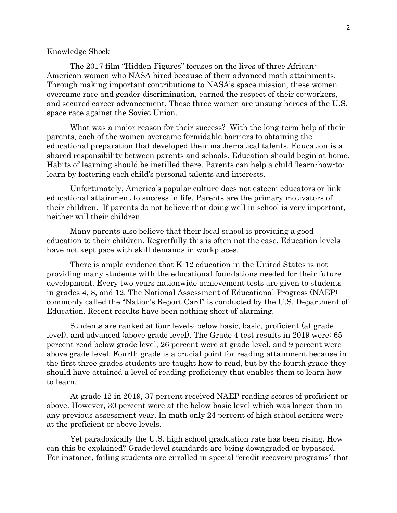#### Knowledge Shock

The 2017 film "Hidden Figures" focuses on the lives of three African-American women who NASA hired because of their advanced math attainments. Through making important contributions to NASA's space mission, these women overcame race and gender discrimination, earned the respect of their co-workers, and secured career advancement. These three women are unsung heroes of the U.S. space race against the Soviet Union.

What was a major reason for their success? With the long-term help of their parents, each of the women overcame formidable barriers to obtaining the educational preparation that developed their mathematical talents. Education is a shared responsibility between parents and schools. Education should begin at home. Habits of learning should be instilled there. Parents can help a child 'learn-how-tolearn by fostering each child's personal talents and interests.

Unfortunately, America's popular culture does not esteem educators or link educational attainment to success in life. Parents are the primary motivators of their children. If parents do not believe that doing well in school is very important, neither will their children.

Many parents also believe that their local school is providing a good education to their children. Regretfully this is often not the case. Education levels have not kept pace with skill demands in workplaces.

There is ample evidence that K-12 education in the United States is not providing many students with the educational foundations needed for their future development. Every two years nationwide achievement tests are given to students in grades 4, 8, and 12. The National Assessment of Educational Progress (NAEP) commonly called the "Nation's Report Card" is conducted by the U.S. Department of Education. Recent results have been nothing short of alarming.

Students are ranked at four levels: below basic, basic, proficient (at grade level), and advanced (above grade level). The Grade 4 test results in 2019 were: 65 percent read below grade level, 26 percent were at grade level, and 9 percent were above grade level. Fourth grade is a crucial point for reading attainment because in the first three grades students are taught how to read, but by the fourth grade they should have attained a level of reading proficiency that enables them to learn how to learn.

At grade 12 in 2019, 37 percent received NAEP reading scores of proficient or above. However, 30 percent were at the below basic level which was larger than in any previous assessment year. In math only 24 percent of high school seniors were at the proficient or above levels.

Yet paradoxically the U.S. high school graduation rate has been rising. How can this be explained? Grade-level standards are being downgraded or bypassed. For instance, failing students are enrolled in special "credit recovery programs" that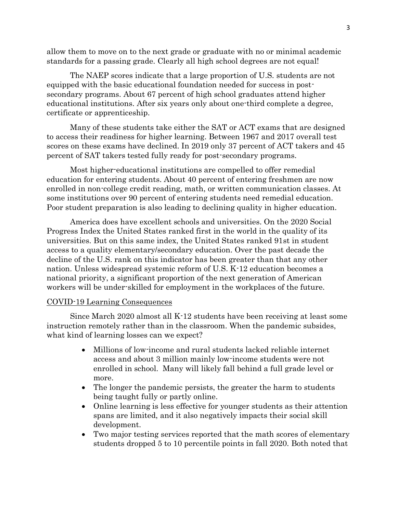allow them to move on to the next grade or graduate with no or minimal academic standards for a passing grade. Clearly all high school degrees are not equal!

The NAEP scores indicate that a large proportion of U.S. students are not equipped with the basic educational foundation needed for success in postsecondary programs. About 67 percent of high school graduates attend higher educational institutions. After six years only about one-third complete a degree, certificate or apprenticeship.

Many of these students take either the SAT or ACT exams that are designed to access their readiness for higher learning. Between 1967 and 2017 overall test scores on these exams have declined. In 2019 only 37 percent of ACT takers and 45 percent of SAT takers tested fully ready for post-secondary programs.

Most higher-educational institutions are compelled to offer remedial education for entering students. About 40 percent of entering freshmen are now enrolled in non-college credit reading, math, or written communication classes. At some institutions over 90 percent of entering students need remedial education. Poor student preparation is also leading to declining quality in higher education.

America does have excellent schools and universities. On the 2020 Social Progress Index the United States ranked first in the world in the quality of its universities. But on this same index, the United States ranked 91st in student access to a quality elementary/secondary education. Over the past decade the decline of the U.S. rank on this indicator has been greater than that any other nation. Unless widespread systemic reform of U.S. K-12 education becomes a national priority, a significant proportion of the next generation of American workers will be under-skilled for employment in the workplaces of the future.

## COVID-19 Learning Consequences

Since March 2020 almost all K-12 students have been receiving at least some instruction remotely rather than in the classroom. When the pandemic subsides, what kind of learning losses can we expect?

- Millions of low-income and rural students lacked reliable internet access and about 3 million mainly low-income students were not enrolled in school. Many will likely fall behind a full grade level or more.
- The longer the pandemic persists, the greater the harm to students being taught fully or partly online.
- Online learning is less effective for younger students as their attention spans are limited, and it also negatively impacts their social skill development.
- Two major testing services reported that the math scores of elementary students dropped 5 to 10 percentile points in fall 2020. Both noted that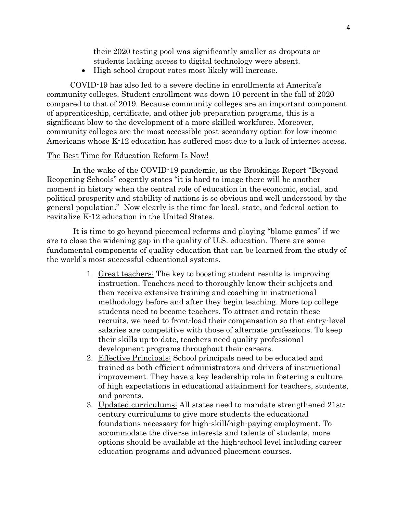their 2020 testing pool was significantly smaller as dropouts or students lacking access to digital technology were absent.

• High school dropout rates most likely will increase.

COVID-19 has also led to a severe decline in enrollments at America's community colleges. Student enrollment was down 10 percent in the fall of 2020 compared to that of 2019. Because community colleges are an important component of apprenticeship, certificate, and other job preparation programs, this is a significant blow to the development of a more skilled workforce. Moreover, community colleges are the most accessible post-secondary option for low-income Americans whose K-12 education has suffered most due to a lack of internet access.

## The Best Time for Education Reform Is Now!

In the wake of the COVID-19 pandemic, as the Brookings Report "Beyond Reopening Schools" cogently states "it is hard to image there will be another moment in history when the central role of education in the economic, social, and political prosperity and stability of nations is so obvious and well understood by the general population." Now clearly is the time for local, state, and federal action to revitalize K-12 education in the United States.

It is time to go beyond piecemeal reforms and playing "blame games" if we are to close the widening gap in the quality of U.S. education. There are some fundamental components of quality education that can be learned from the study of the world's most successful educational systems.

- 1. Great teachers: The key to boosting student results is improving instruction. Teachers need to thoroughly know their subjects and then receive extensive training and coaching in instructional methodology before and after they begin teaching. More top college students need to become teachers. To attract and retain these recruits, we need to front-load their compensation so that entry-level salaries are competitive with those of alternate professions. To keep their skills up-to-date, teachers need quality professional development programs throughout their careers.
- 2. Effective Principals: School principals need to be educated and trained as both efficient administrators and drivers of instructional improvement. They have a key leadership role in fostering a culture of high expectations in educational attainment for teachers, students, and parents.
- 3. Updated curriculums: All states need to mandate strengthened 21stcentury curriculums to give more students the educational foundations necessary for high-skill/high-paying employment. To accommodate the diverse interests and talents of students, more options should be available at the high-school level including career education programs and advanced placement courses.